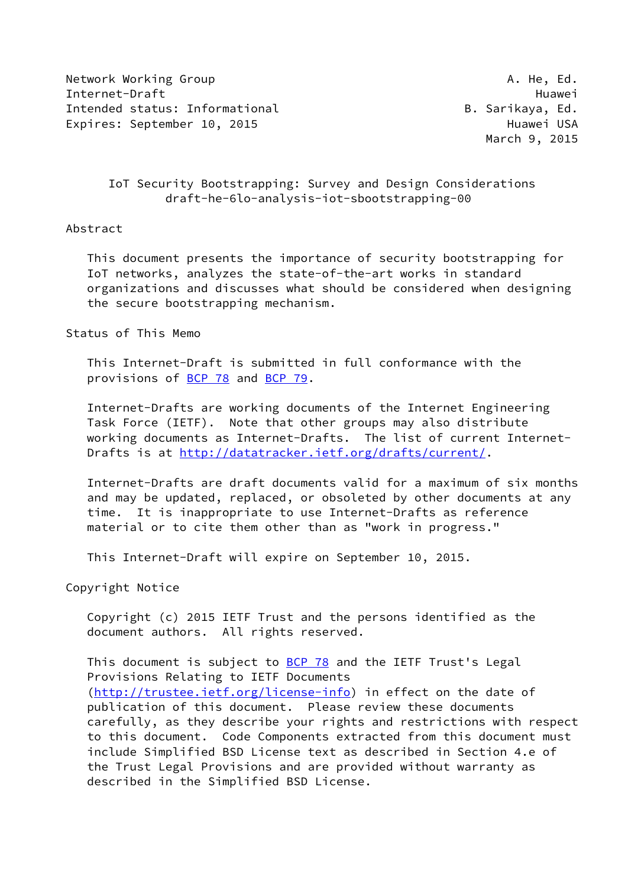Network Working Group and the set of the set of the set of the set of the set of the set of the set of the set o Internet-Draft Huawei Intended status: Informational B. Sarikaya, Ed. Expires: September 10, 2015 and the experience of Huawei USA

March 9, 2015

# IoT Security Bootstrapping: Survey and Design Considerations draft-he-6lo-analysis-iot-sbootstrapping-00

### Abstract

 This document presents the importance of security bootstrapping for IoT networks, analyzes the state-of-the-art works in standard organizations and discusses what should be considered when designing the secure bootstrapping mechanism.

#### Status of This Memo

 This Internet-Draft is submitted in full conformance with the provisions of [BCP 78](https://datatracker.ietf.org/doc/pdf/bcp78) and [BCP 79](https://datatracker.ietf.org/doc/pdf/bcp79).

 Internet-Drafts are working documents of the Internet Engineering Task Force (IETF). Note that other groups may also distribute working documents as Internet-Drafts. The list of current Internet- Drafts is at<http://datatracker.ietf.org/drafts/current/>.

 Internet-Drafts are draft documents valid for a maximum of six months and may be updated, replaced, or obsoleted by other documents at any time. It is inappropriate to use Internet-Drafts as reference material or to cite them other than as "work in progress."

This Internet-Draft will expire on September 10, 2015.

Copyright Notice

 Copyright (c) 2015 IETF Trust and the persons identified as the document authors. All rights reserved.

This document is subject to **[BCP 78](https://datatracker.ietf.org/doc/pdf/bcp78)** and the IETF Trust's Legal Provisions Relating to IETF Documents [\(http://trustee.ietf.org/license-info](http://trustee.ietf.org/license-info)) in effect on the date of publication of this document. Please review these documents carefully, as they describe your rights and restrictions with respect to this document. Code Components extracted from this document must include Simplified BSD License text as described in Section 4.e of the Trust Legal Provisions and are provided without warranty as described in the Simplified BSD License.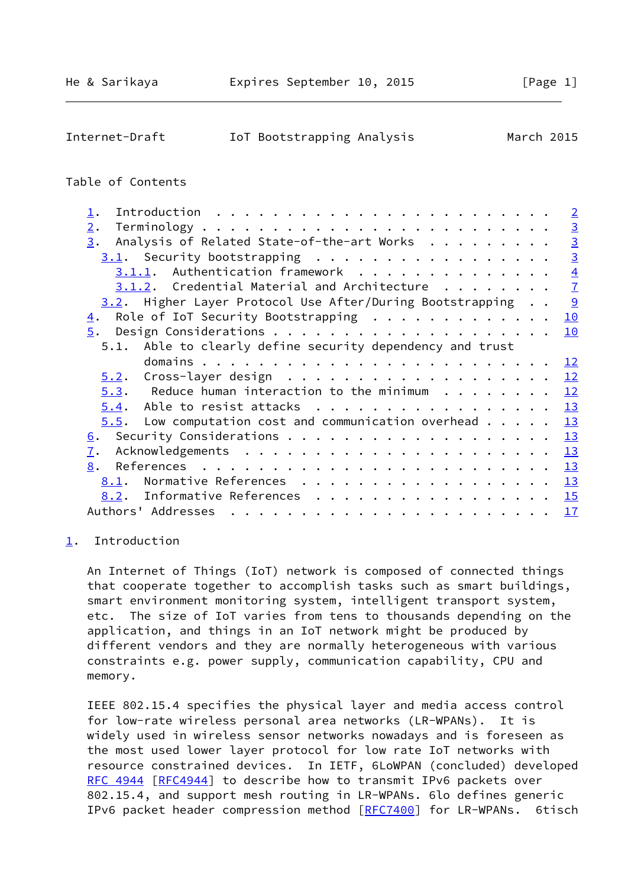<span id="page-1-1"></span>

| Internet-Draft | IoT Bootstrapping Analysis | March 2015 |  |
|----------------|----------------------------|------------|--|
|                |                            |            |  |

#### Table of Contents

| $\mathbf 1$ .                                                     | $\overline{2}$ |
|-------------------------------------------------------------------|----------------|
| 2.                                                                | $\overline{3}$ |
| Analysis of Related State-of-the-art Works<br>3.                  | $\overline{3}$ |
|                                                                   | $\overline{3}$ |
|                                                                   | $\overline{4}$ |
| $3.1.2.$ Credential Material and Architecture $\ldots$            | $\overline{1}$ |
| 3.2. Higher Layer Protocol Use After/During Bootstrapping         | $\frac{9}{2}$  |
| Role of IoT Security Bootstrapping<br>$\overline{4}$ .            | 10             |
| 5.                                                                | 10             |
| 5.1. Able to clearly define security dependency and trust         |                |
|                                                                   | 12             |
|                                                                   | 12             |
| $5.3$ . Reduce human interaction to the minimum                   | 12             |
|                                                                   | 13             |
| $5.5$ . Low computation cost and communication overhead $\dots$ . | 13             |
| 6.                                                                | 13             |
| 7.                                                                | 13             |
| 8.                                                                |                |
| Normative References 13<br>8.1.                                   |                |
| 8.2. Informative References 15                                    |                |
|                                                                   |                |

#### <span id="page-1-0"></span>[1](#page-1-0). Introduction

 An Internet of Things (IoT) network is composed of connected things that cooperate together to accomplish tasks such as smart buildings, smart environment monitoring system, intelligent transport system, etc. The size of IoT varies from tens to thousands depending on the application, and things in an IoT network might be produced by different vendors and they are normally heterogeneous with various constraints e.g. power supply, communication capability, CPU and memory.

 IEEE 802.15.4 specifies the physical layer and media access control for low-rate wireless personal area networks (LR-WPANs). It is widely used in wireless sensor networks nowadays and is foreseen as the most used lower layer protocol for low rate IoT networks with resource constrained devices. In IETF, 6LoWPAN (concluded) developed [RFC 4944](https://datatracker.ietf.org/doc/pdf/rfc4944) [\[RFC4944](https://datatracker.ietf.org/doc/pdf/rfc4944)] to describe how to transmit IPv6 packets over 802.15.4, and support mesh routing in LR-WPANs. 6lo defines generic IPv6 packet header compression method [[RFC7400](https://datatracker.ietf.org/doc/pdf/rfc7400)] for LR-WPANs. 6tisch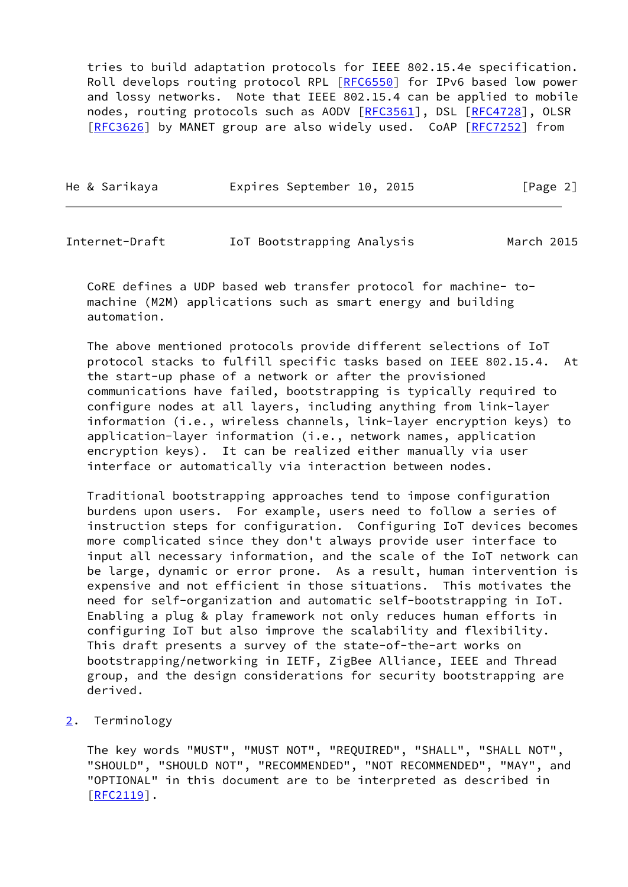tries to build adaptation protocols for IEEE 802.15.4e specification. Roll develops routing protocol RPL [[RFC6550\]](https://datatracker.ietf.org/doc/pdf/rfc6550) for IPv6 based low power and lossy networks. Note that IEEE 802.15.4 can be applied to mobile nodes, routing protocols such as AODV [[RFC3561](https://datatracker.ietf.org/doc/pdf/rfc3561)], DSL [\[RFC4728](https://datatracker.ietf.org/doc/pdf/rfc4728)], OLSR [\[RFC3626](https://datatracker.ietf.org/doc/pdf/rfc3626)] by MANET group are also widely used. CoAP [\[RFC7252](https://datatracker.ietf.org/doc/pdf/rfc7252)] from

| He & Sarikaya | Expires September 10, 2015 | [Page 2] |
|---------------|----------------------------|----------|
|               |                            |          |

<span id="page-2-1"></span>

| Internet-Draft |  | IoT Bootstrapping Analysis |  | March 2015 |  |
|----------------|--|----------------------------|--|------------|--|
|----------------|--|----------------------------|--|------------|--|

 CoRE defines a UDP based web transfer protocol for machine- to machine (M2M) applications such as smart energy and building automation.

 The above mentioned protocols provide different selections of IoT protocol stacks to fulfill specific tasks based on IEEE 802.15.4. At the start-up phase of a network or after the provisioned communications have failed, bootstrapping is typically required to configure nodes at all layers, including anything from link-layer information (i.e., wireless channels, link-layer encryption keys) to application-layer information (i.e., network names, application encryption keys). It can be realized either manually via user interface or automatically via interaction between nodes.

 Traditional bootstrapping approaches tend to impose configuration burdens upon users. For example, users need to follow a series of instruction steps for configuration. Configuring IoT devices becomes more complicated since they don't always provide user interface to input all necessary information, and the scale of the IoT network can be large, dynamic or error prone. As a result, human intervention is expensive and not efficient in those situations. This motivates the need for self-organization and automatic self-bootstrapping in IoT. Enabling a plug & play framework not only reduces human efforts in configuring IoT but also improve the scalability and flexibility. This draft presents a survey of the state-of-the-art works on bootstrapping/networking in IETF, ZigBee Alliance, IEEE and Thread group, and the design considerations for security bootstrapping are derived.

<span id="page-2-0"></span>[2](#page-2-0). Terminology

 The key words "MUST", "MUST NOT", "REQUIRED", "SHALL", "SHALL NOT", "SHOULD", "SHOULD NOT", "RECOMMENDED", "NOT RECOMMENDED", "MAY", and "OPTIONAL" in this document are to be interpreted as described in [\[RFC2119](https://datatracker.ietf.org/doc/pdf/rfc2119)].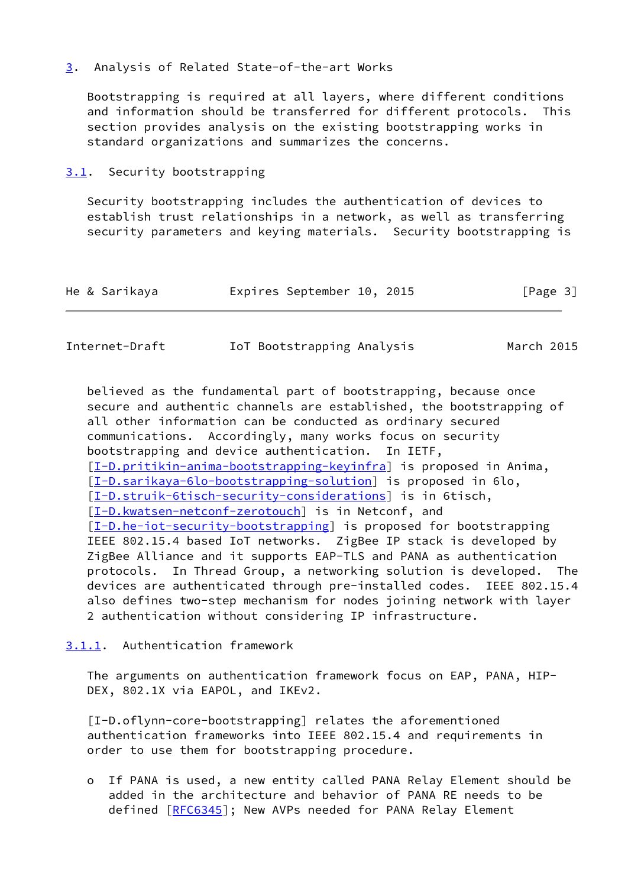# <span id="page-3-0"></span>[3](#page-3-0). Analysis of Related State-of-the-art Works

 Bootstrapping is required at all layers, where different conditions and information should be transferred for different protocols. This section provides analysis on the existing bootstrapping works in standard organizations and summarizes the concerns.

## <span id="page-3-1"></span>[3.1](#page-3-1). Security bootstrapping

 Security bootstrapping includes the authentication of devices to establish trust relationships in a network, as well as transferring security parameters and keying materials. Security bootstrapping is

| He & Sarikaya | Expires September 10, 2015 |  | [Page 3] |
|---------------|----------------------------|--|----------|
|               |                            |  |          |

<span id="page-3-3"></span>

| Internet-Draft | IoT Bootstrapping Analysis | March 2015 |
|----------------|----------------------------|------------|
|----------------|----------------------------|------------|

 believed as the fundamental part of bootstrapping, because once secure and authentic channels are established, the bootstrapping of all other information can be conducted as ordinary secured communications. Accordingly, many works focus on security bootstrapping and device authentication. In IETF, [\[I-D.pritikin-anima-bootstrapping-keyinfra](#page-17-0)] is proposed in Anima, [\[I-D.sarikaya-6lo-bootstrapping-solution](#page-17-1)] is proposed in 6lo, [\[I-D.struik-6tisch-security-considerations](#page-17-2)] is in 6tisch, [\[I-D.kwatsen-netconf-zerotouch](#page-17-3)] is in Netconf, and [\[I-D.he-iot-security-bootstrapping](#page-17-4)] is proposed for bootstrapping IEEE 802.15.4 based IoT networks. ZigBee IP stack is developed by ZigBee Alliance and it supports EAP-TLS and PANA as authentication protocols. In Thread Group, a networking solution is developed. The devices are authenticated through pre-installed codes. IEEE 802.15.4 also defines two-step mechanism for nodes joining network with layer 2 authentication without considering IP infrastructure.

## <span id="page-3-2"></span>[3.1.1](#page-3-2). Authentication framework

 The arguments on authentication framework focus on EAP, PANA, HIP- DEX, 802.1X via EAPOL, and IKEv2.

 [I-D.oflynn-core-bootstrapping] relates the aforementioned authentication frameworks into IEEE 802.15.4 and requirements in order to use them for bootstrapping procedure.

 o If PANA is used, a new entity called PANA Relay Element should be added in the architecture and behavior of PANA RE needs to be defined [[RFC6345\]](https://datatracker.ietf.org/doc/pdf/rfc6345); New AVPs needed for PANA Relay Element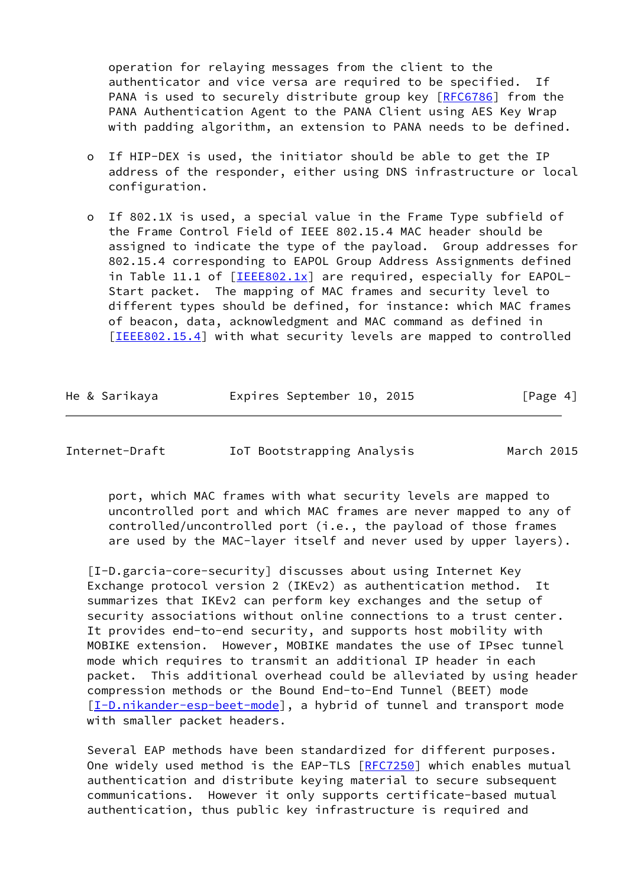operation for relaying messages from the client to the authenticator and vice versa are required to be specified. If PANA is used to securely distribute group key [\[RFC6786](https://datatracker.ietf.org/doc/pdf/rfc6786)] from the PANA Authentication Agent to the PANA Client using AES Key Wrap with padding algorithm, an extension to PANA needs to be defined.

- o If HIP-DEX is used, the initiator should be able to get the IP address of the responder, either using DNS infrastructure or local configuration.
- o If 802.1X is used, a special value in the Frame Type subfield of the Frame Control Field of IEEE 802.15.4 MAC header should be assigned to indicate the type of the payload. Group addresses for 802.15.4 corresponding to EAPOL Group Address Assignments defined in Table 11.1 of [\[IEEE802.1x\]](#page-14-4) are required, especially for EAPOL- Start packet. The mapping of MAC frames and security level to different types should be defined, for instance: which MAC frames of beacon, data, acknowledgment and MAC command as defined in [[IEEE802.15.4\]](#page-14-5) with what security levels are mapped to controlled

|  |  | He & Sarikaya |  | Expires September 10, 2015 |  |  | [Page 4] |  |
|--|--|---------------|--|----------------------------|--|--|----------|--|
|--|--|---------------|--|----------------------------|--|--|----------|--|

Internet-Draft IoT Bootstrapping Analysis March 2015

 port, which MAC frames with what security levels are mapped to uncontrolled port and which MAC frames are never mapped to any of controlled/uncontrolled port (i.e., the payload of those frames are used by the MAC-layer itself and never used by upper layers).

<span id="page-4-0"></span> [I-D.garcia-core-security] discusses about using Internet Key Exchange protocol version 2 (IKEv2) as authentication method. It summarizes that IKEv2 can perform key exchanges and the setup of security associations without online connections to a trust center. It provides end-to-end security, and supports host mobility with MOBIKE extension. However, MOBIKE mandates the use of IPsec tunnel mode which requires to transmit an additional IP header in each packet. This additional overhead could be alleviated by using header compression methods or the Bound End-to-End Tunnel (BEET) mode [\[I-D.nikander-esp-beet-mode\]](#page-17-5), a hybrid of tunnel and transport mode with smaller packet headers.

 Several EAP methods have been standardized for different purposes. One widely used method is the EAP-TLS [[RFC7250](https://datatracker.ietf.org/doc/pdf/rfc7250)] which enables mutual authentication and distribute keying material to secure subsequent communications. However it only supports certificate-based mutual authentication, thus public key infrastructure is required and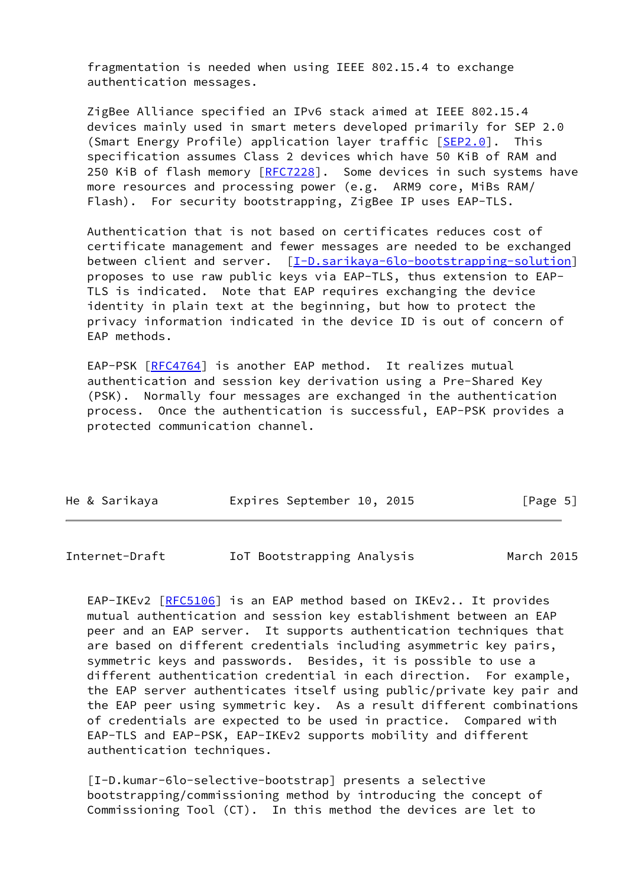fragmentation is needed when using IEEE 802.15.4 to exchange authentication messages.

 ZigBee Alliance specified an IPv6 stack aimed at IEEE 802.15.4 devices mainly used in smart meters developed primarily for SEP 2.0 (Smart Energy Profile) application layer traffic [\[SEP2.0](#page-16-1)]. This specification assumes Class 2 devices which have 50 KiB of RAM and 250 KiB of flash memory [\[RFC7228](https://datatracker.ietf.org/doc/pdf/rfc7228)]. Some devices in such systems have more resources and processing power (e.g. ARM9 core, MiBs RAM/ Flash). For security bootstrapping, ZigBee IP uses EAP-TLS.

 Authentication that is not based on certificates reduces cost of certificate management and fewer messages are needed to be exchanged between client and server. [\[I-D.sarikaya-6lo-bootstrapping-solution](#page-17-1)] proposes to use raw public keys via EAP-TLS, thus extension to EAP- TLS is indicated. Note that EAP requires exchanging the device identity in plain text at the beginning, but how to protect the privacy information indicated in the device ID is out of concern of EAP methods.

 EAP-PSK [\[RFC4764](https://datatracker.ietf.org/doc/pdf/rfc4764)] is another EAP method. It realizes mutual authentication and session key derivation using a Pre-Shared Key (PSK). Normally four messages are exchanged in the authentication process. Once the authentication is successful, EAP-PSK provides a protected communication channel.

|  | He & Sarikaya | Expires September 10, 2015 |  | [Page 5] |  |
|--|---------------|----------------------------|--|----------|--|
|  |               |                            |  |          |  |

Internet-Draft IoT Bootstrapping Analysis March 2015

 EAP-IKEv2 [[RFC5106](https://datatracker.ietf.org/doc/pdf/rfc5106)] is an EAP method based on IKEv2.. It provides mutual authentication and session key establishment between an EAP peer and an EAP server. It supports authentication techniques that are based on different credentials including asymmetric key pairs, symmetric keys and passwords. Besides, it is possible to use a different authentication credential in each direction. For example, the EAP server authenticates itself using public/private key pair and the EAP peer using symmetric key. As a result different combinations of credentials are expected to be used in practice. Compared with EAP-TLS and EAP-PSK, EAP-IKEv2 supports mobility and different authentication techniques.

<span id="page-5-0"></span> [I-D.kumar-6lo-selective-bootstrap] presents a selective bootstrapping/commissioning method by introducing the concept of Commissioning Tool (CT). In this method the devices are let to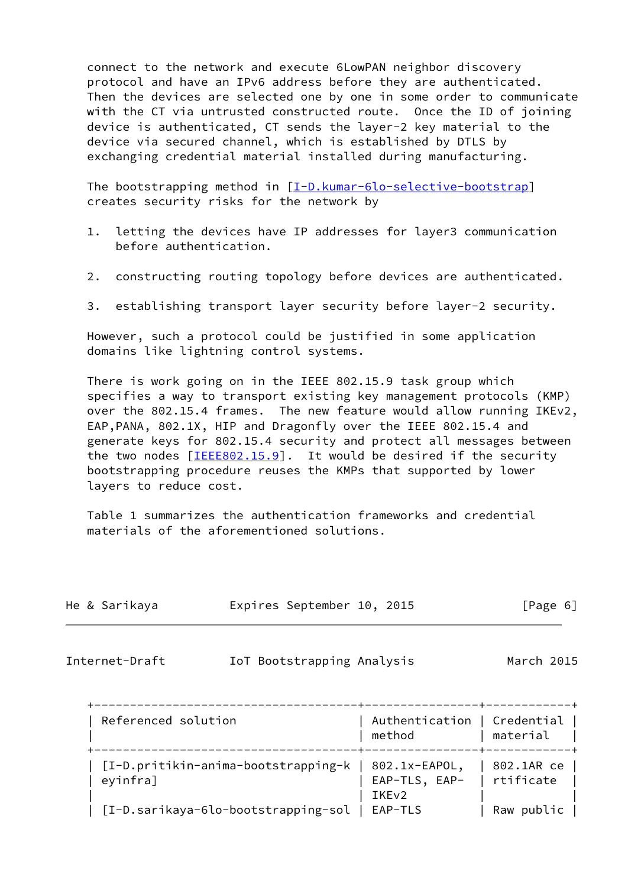connect to the network and execute 6LowPAN neighbor discovery protocol and have an IPv6 address before they are authenticated. Then the devices are selected one by one in some order to communicate with the CT via untrusted constructed route. Once the ID of joining device is authenticated, CT sends the layer-2 key material to the device via secured channel, which is established by DTLS by exchanging credential material installed during manufacturing.

The bootstrapping method in  $[I-D.kumar-6lo-selective-bootstrap]$  $[I-D.kumar-6lo-selective-bootstrap]$ creates security risks for the network by

- 1. letting the devices have IP addresses for layer3 communication before authentication.
- 2. constructing routing topology before devices are authenticated.
- 3. establishing transport layer security before layer-2 security.

 However, such a protocol could be justified in some application domains like lightning control systems.

 There is work going on in the IEEE 802.15.9 task group which specifies a way to transport existing key management protocols (KMP) over the 802.15.4 frames. The new feature would allow running IKEv2, EAP,PANA, 802.1X, HIP and Dragonfly over the IEEE 802.15.4 and generate keys for 802.15.4 security and protect all messages between the two nodes  $[\text{IEEE802.15.9}]$ . It would be desired if the security bootstrapping procedure reuses the KMPs that supported by lower layers to reduce cost.

 Table 1 summarizes the authentication frameworks and credential materials of the aforementioned solutions.

| He & Sarikaya | Expires September 10, 2015 |  | [Page 6] |  |
|---------------|----------------------------|--|----------|--|
|               |                            |  |          |  |

<span id="page-6-0"></span>

Internet-Draft IoT Bootstrapping Analysis March 2015

| Referenced solution                                             | Authentication   Credential  <br>method | material                  |
|-----------------------------------------------------------------|-----------------------------------------|---------------------------|
| [I-D.pritikin-anima-bootstrapping-k   802.1x-EAPOL,<br>eyinfra] | EAP-TLS, EAP-<br>IKE <sub>v2</sub>      | 802.1AR ce<br>  rtificate |
| [I-D.sarikaya-6lo-bootstrapping-sol   EAP-TLS                   |                                         | Raw public                |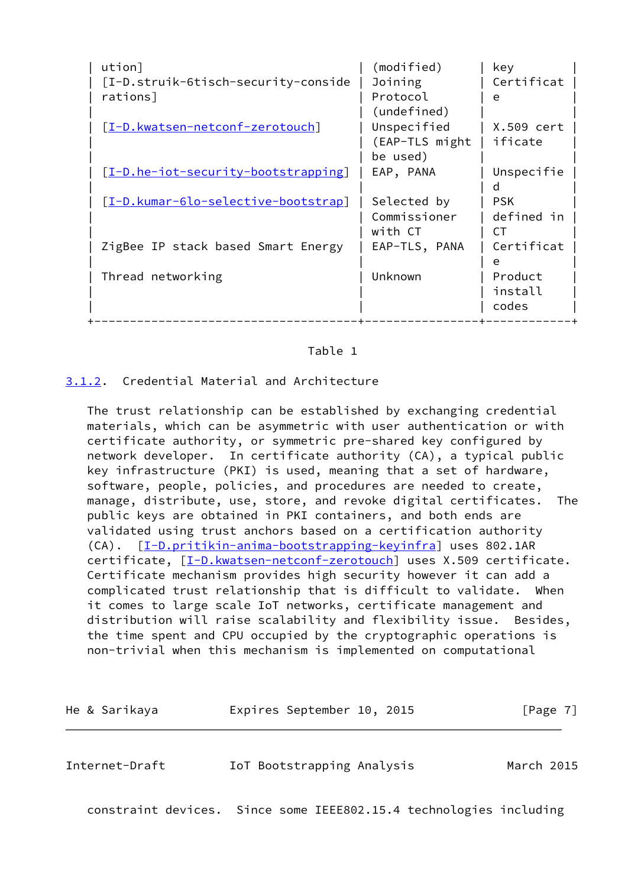| ution]                              | (modified)     | key        |
|-------------------------------------|----------------|------------|
| [I-D.struik-6tisch-security-conside | Joining        | Certificat |
| rations]                            | Protocol       | e          |
|                                     | (undefined)    |            |
| [I-D.kwatsen-netconf-zerotouch]     | Unspecified    | X.509 cert |
|                                     | (EAP-TLS might | ificate    |
|                                     | be used)       |            |
| [I-D.he-iot-security-bootstrapping] | EAP, PANA      | Unspecifie |
|                                     |                | п          |
| [I-D.kumar-6lo-selective-bootstrap] | Selected by    | <b>PSK</b> |
|                                     | Commissioner   | defined in |
|                                     | with CT        | CТ         |
| ZigBee IP stack based Smart Energy  | EAP-TLS, PANA  | Certificat |
|                                     |                | e          |
| Thread networking                   | Unknown        | Product    |
|                                     |                | install    |
|                                     |                | codes      |
|                                     |                |            |

## Table 1

### <span id="page-7-0"></span>[3.1.2](#page-7-0). Credential Material and Architecture

 The trust relationship can be established by exchanging credential materials, which can be asymmetric with user authentication or with certificate authority, or symmetric pre-shared key configured by network developer. In certificate authority (CA), a typical public key infrastructure (PKI) is used, meaning that a set of hardware, software, people, policies, and procedures are needed to create, manage, distribute, use, store, and revoke digital certificates. The public keys are obtained in PKI containers, and both ends are validated using trust anchors based on a certification authority (CA). [\[I-D.pritikin-anima-bootstrapping-keyinfra](#page-17-0)] uses 802.1AR certificate,  $[I-D.kwatsen-netconf-zerotouch]$  uses X.509 certificate. Certificate mechanism provides high security however it can add a complicated trust relationship that is difficult to validate. When it comes to large scale IoT networks, certificate management and distribution will raise scalability and flexibility issue. Besides, the time spent and CPU occupied by the cryptographic operations is non-trivial when this mechanism is implemented on computational

| He & Sarikaya  | Expires September 10, 2015                                         | [Page 7]   |
|----------------|--------------------------------------------------------------------|------------|
| Internet-Draft | IoT Bootstrapping Analysis                                         | March 2015 |
|                | constraint devices. Since some IEEE802.15.4 technologies including |            |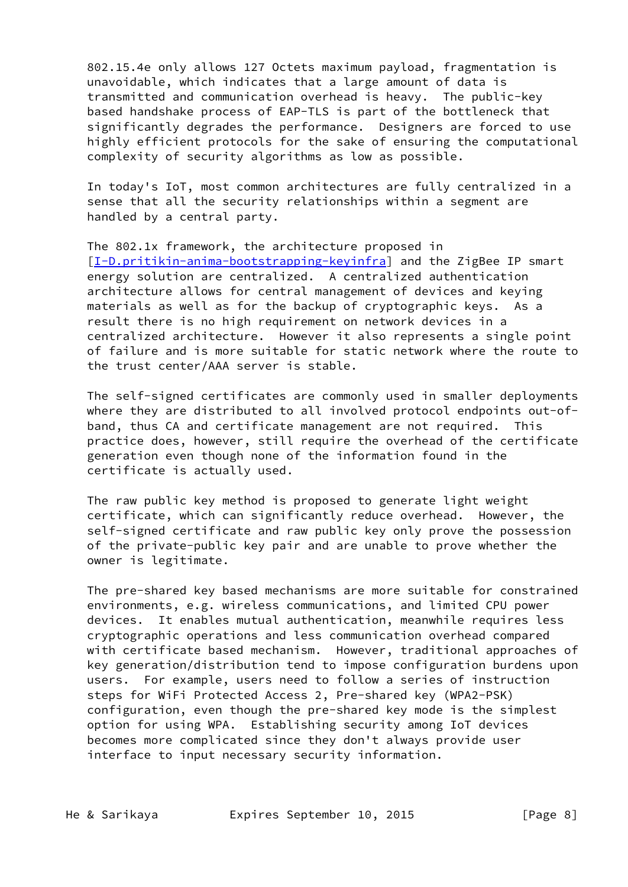802.15.4e only allows 127 Octets maximum payload, fragmentation is unavoidable, which indicates that a large amount of data is transmitted and communication overhead is heavy. The public-key based handshake process of EAP-TLS is part of the bottleneck that significantly degrades the performance. Designers are forced to use highly efficient protocols for the sake of ensuring the computational complexity of security algorithms as low as possible.

 In today's IoT, most common architectures are fully centralized in a sense that all the security relationships within a segment are handled by a central party.

 The 802.1x framework, the architecture proposed in [\[I-D.pritikin-anima-bootstrapping-keyinfra](#page-17-0)] and the ZigBee IP smart energy solution are centralized. A centralized authentication architecture allows for central management of devices and keying materials as well as for the backup of cryptographic keys. As a result there is no high requirement on network devices in a centralized architecture. However it also represents a single point of failure and is more suitable for static network where the route to the trust center/AAA server is stable.

 The self-signed certificates are commonly used in smaller deployments where they are distributed to all involved protocol endpoints out-of band, thus CA and certificate management are not required. This practice does, however, still require the overhead of the certificate generation even though none of the information found in the certificate is actually used.

 The raw public key method is proposed to generate light weight certificate, which can significantly reduce overhead. However, the self-signed certificate and raw public key only prove the possession of the private-public key pair and are unable to prove whether the owner is legitimate.

 The pre-shared key based mechanisms are more suitable for constrained environments, e.g. wireless communications, and limited CPU power devices. It enables mutual authentication, meanwhile requires less cryptographic operations and less communication overhead compared with certificate based mechanism. However, traditional approaches of key generation/distribution tend to impose configuration burdens upon users. For example, users need to follow a series of instruction steps for WiFi Protected Access 2, Pre-shared key (WPA2-PSK) configuration, even though the pre-shared key mode is the simplest option for using WPA. Establishing security among IoT devices becomes more complicated since they don't always provide user interface to input necessary security information.

He & Sarikaya Expires September 10, 2015 [Page 8]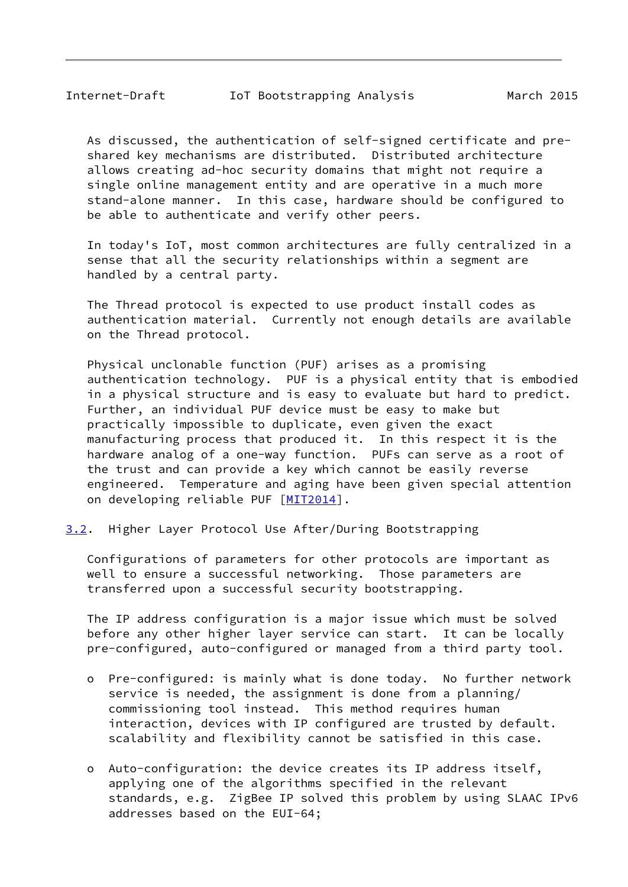<span id="page-9-1"></span> As discussed, the authentication of self-signed certificate and pre shared key mechanisms are distributed. Distributed architecture allows creating ad-hoc security domains that might not require a single online management entity and are operative in a much more stand-alone manner. In this case, hardware should be configured to be able to authenticate and verify other peers.

 In today's IoT, most common architectures are fully centralized in a sense that all the security relationships within a segment are handled by a central party.

 The Thread protocol is expected to use product install codes as authentication material. Currently not enough details are available on the Thread protocol.

 Physical unclonable function (PUF) arises as a promising authentication technology. PUF is a physical entity that is embodied in a physical structure and is easy to evaluate but hard to predict. Further, an individual PUF device must be easy to make but practically impossible to duplicate, even given the exact manufacturing process that produced it. In this respect it is the hardware analog of a one-way function. PUFs can serve as a root of the trust and can provide a key which cannot be easily reverse engineered. Temperature and aging have been given special attention on developing reliable PUF [[MIT2014\]](#page-17-6).

<span id="page-9-0"></span>[3.2](#page-9-0). Higher Layer Protocol Use After/During Bootstrapping

 Configurations of parameters for other protocols are important as well to ensure a successful networking. Those parameters are transferred upon a successful security bootstrapping.

 The IP address configuration is a major issue which must be solved before any other higher layer service can start. It can be locally pre-configured, auto-configured or managed from a third party tool.

- o Pre-configured: is mainly what is done today. No further network service is needed, the assignment is done from a planning/ commissioning tool instead. This method requires human interaction, devices with IP configured are trusted by default. scalability and flexibility cannot be satisfied in this case.
- o Auto-configuration: the device creates its IP address itself, applying one of the algorithms specified in the relevant standards, e.g. ZigBee IP solved this problem by using SLAAC IPv6 addresses based on the EUI-64;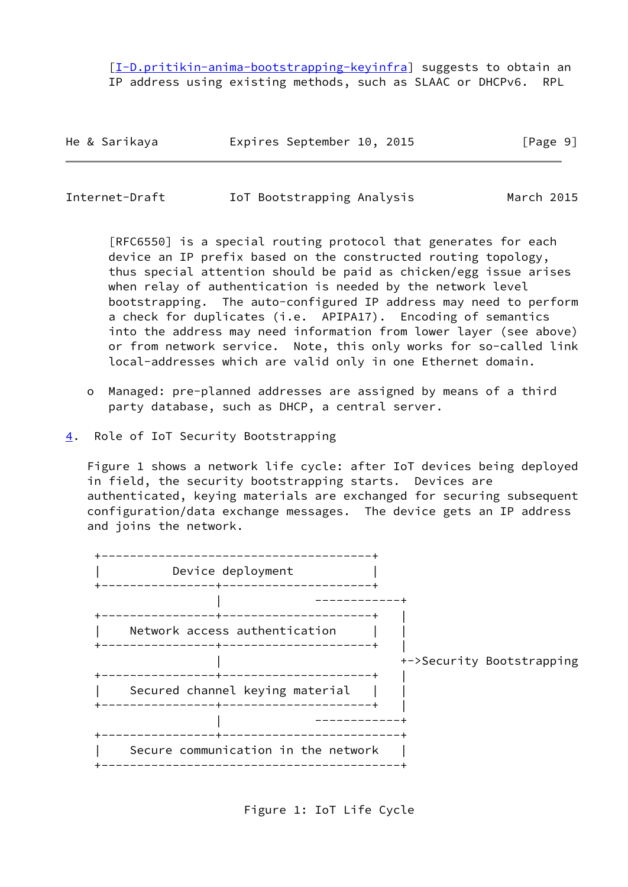[[I-D.pritikin-anima-bootstrapping-keyinfra\]](#page-17-0) suggests to obtain an IP address using existing methods, such as SLAAC or DHCPv6. RPL

|  | He & Sarikaya |  | Expires September 10, 2015 |  |  | [Page 9] |
|--|---------------|--|----------------------------|--|--|----------|
|--|---------------|--|----------------------------|--|--|----------|

<span id="page-10-1"></span>Internet-Draft IoT Bootstrapping Analysis March 2015

 [RFC6550] is a special routing protocol that generates for each device an IP prefix based on the constructed routing topology, thus special attention should be paid as chicken/egg issue arises when relay of authentication is needed by the network level bootstrapping. The auto-configured IP address may need to perform a check for duplicates (i.e. APIPA17). Encoding of semantics into the address may need information from lower layer (see above) or from network service. Note, this only works for so-called link local-addresses which are valid only in one Ethernet domain.

- o Managed: pre-planned addresses are assigned by means of a third party database, such as DHCP, a central server.
- <span id="page-10-0"></span>[4](#page-10-0). Role of IoT Security Bootstrapping

 Figure 1 shows a network life cycle: after IoT devices being deployed in field, the security bootstrapping starts. Devices are authenticated, keying materials are exchanged for securing subsequent configuration/data exchange messages. The device gets an IP address and joins the network.



Figure 1: IoT Life Cycle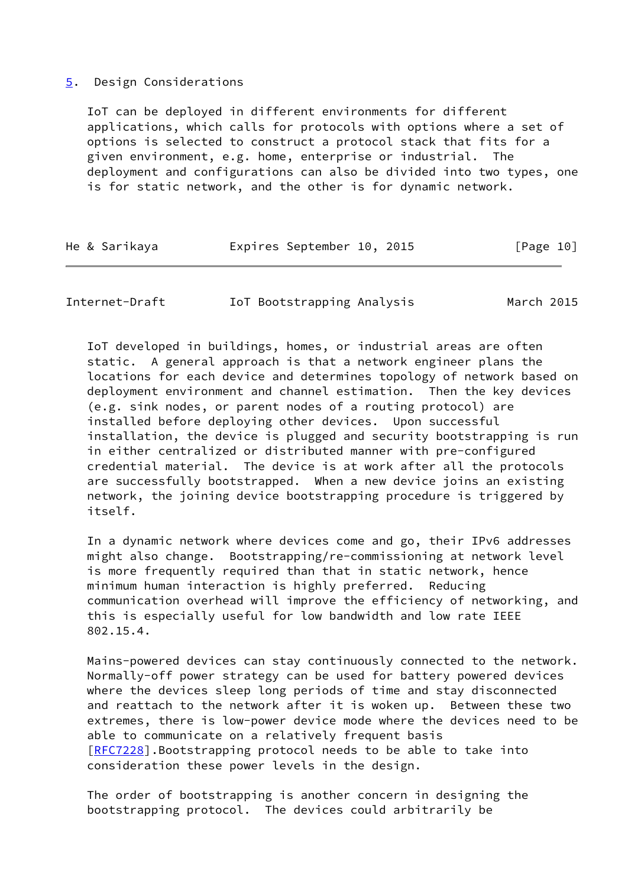#### <span id="page-11-0"></span>[5](#page-11-0). Design Considerations

 IoT can be deployed in different environments for different applications, which calls for protocols with options where a set of options is selected to construct a protocol stack that fits for a given environment, e.g. home, enterprise or industrial. The deployment and configurations can also be divided into two types, one is for static network, and the other is for dynamic network.

|  |  | He & Sarikaya |  | Expires September 10, 2015 |  |  | [Page 10] |  |
|--|--|---------------|--|----------------------------|--|--|-----------|--|
|--|--|---------------|--|----------------------------|--|--|-----------|--|

Internet-Draft IoT Bootstrapping Analysis March 2015

 IoT developed in buildings, homes, or industrial areas are often static. A general approach is that a network engineer plans the locations for each device and determines topology of network based on deployment environment and channel estimation. Then the key devices (e.g. sink nodes, or parent nodes of a routing protocol) are installed before deploying other devices. Upon successful installation, the device is plugged and security bootstrapping is run in either centralized or distributed manner with pre-configured credential material. The device is at work after all the protocols are successfully bootstrapped. When a new device joins an existing network, the joining device bootstrapping procedure is triggered by itself.

 In a dynamic network where devices come and go, their IPv6 addresses might also change. Bootstrapping/re-commissioning at network level is more frequently required than that in static network, hence minimum human interaction is highly preferred. Reducing communication overhead will improve the efficiency of networking, and this is especially useful for low bandwidth and low rate IEEE 802.15.4.

 Mains-powered devices can stay continuously connected to the network. Normally-off power strategy can be used for battery powered devices where the devices sleep long periods of time and stay disconnected and reattach to the network after it is woken up. Between these two extremes, there is low-power device mode where the devices need to be able to communicate on a relatively frequent basis [\[RFC7228](https://datatracker.ietf.org/doc/pdf/rfc7228)].Bootstrapping protocol needs to be able to take into consideration these power levels in the design.

 The order of bootstrapping is another concern in designing the bootstrapping protocol. The devices could arbitrarily be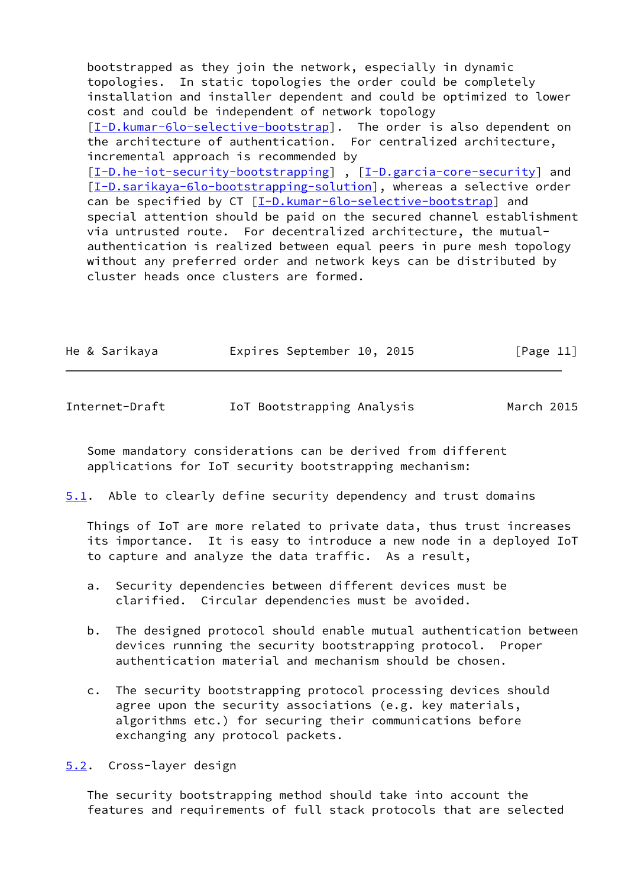bootstrapped as they join the network, especially in dynamic topologies. In static topologies the order could be completely installation and installer dependent and could be optimized to lower cost and could be independent of network topology [\[I-D.kumar-6lo-selective-bootstrap](#page-5-0)]. The order is also dependent on the architecture of authentication. For centralized architecture, incremental approach is recommended by [\[I-D.he-iot-security-bootstrapping](#page-17-4)], [[I-D.garcia-core-security\]](#page-4-0) and [\[I-D.sarikaya-6lo-bootstrapping-solution](#page-17-1)], whereas a selective order can be specified by CT [\[I-D.kumar-6lo-selective-bootstrap](#page-5-0)] and special attention should be paid on the secured channel establishment via untrusted route. For decentralized architecture, the mutual authentication is realized between equal peers in pure mesh topology without any preferred order and network keys can be distributed by cluster heads once clusters are formed.

|  | He & Sarikaya | Expires September 10, 2015 |  | [Page 11] |  |
|--|---------------|----------------------------|--|-----------|--|
|  |               |                            |  |           |  |

<span id="page-12-0"></span>Internet-Draft IoT Bootstrapping Analysis March 2015

 Some mandatory considerations can be derived from different applications for IoT security bootstrapping mechanism:

<span id="page-12-2"></span>[5.1](#page-12-2). Able to clearly define security dependency and trust domains

 Things of IoT are more related to private data, thus trust increases its importance. It is easy to introduce a new node in a deployed IoT to capture and analyze the data traffic. As a result,

- a. Security dependencies between different devices must be clarified. Circular dependencies must be avoided.
- b. The designed protocol should enable mutual authentication between devices running the security bootstrapping protocol. Proper authentication material and mechanism should be chosen.
- c. The security bootstrapping protocol processing devices should agree upon the security associations (e.g. key materials, algorithms etc.) for securing their communications before exchanging any protocol packets.

<span id="page-12-1"></span>[5.2](#page-12-1). Cross-layer design

 The security bootstrapping method should take into account the features and requirements of full stack protocols that are selected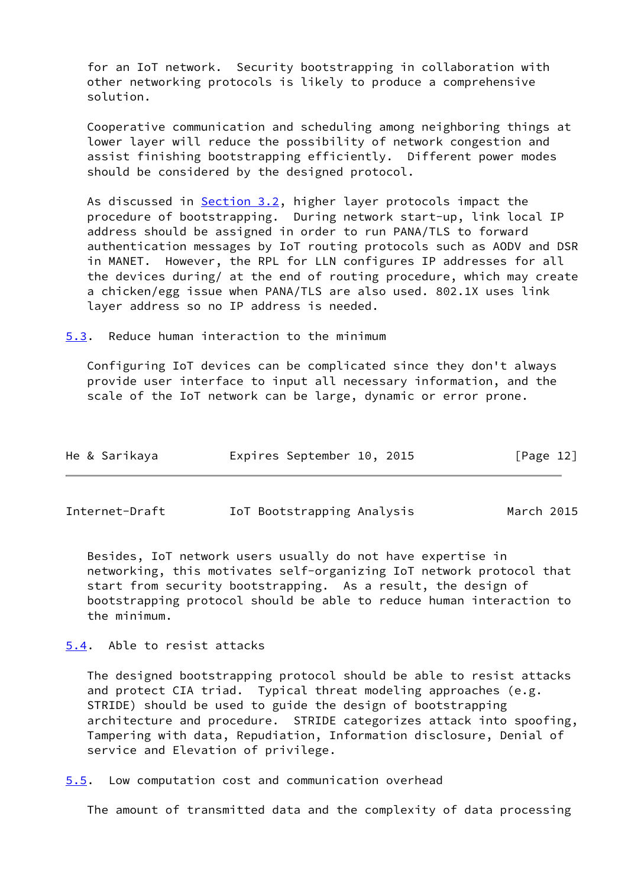for an IoT network. Security bootstrapping in collaboration with other networking protocols is likely to produce a comprehensive solution.

 Cooperative communication and scheduling among neighboring things at lower layer will reduce the possibility of network congestion and assist finishing bootstrapping efficiently. Different power modes should be considered by the designed protocol.

As discussed in [Section 3.2](#page-9-0), higher layer protocols impact the procedure of bootstrapping. During network start-up, link local IP address should be assigned in order to run PANA/TLS to forward authentication messages by IoT routing protocols such as AODV and DSR in MANET. However, the RPL for LLN configures IP addresses for all the devices during/ at the end of routing procedure, which may create a chicken/egg issue when PANA/TLS are also used. 802.1X uses link layer address so no IP address is needed.

<span id="page-13-0"></span>[5.3](#page-13-0). Reduce human interaction to the minimum

 Configuring IoT devices can be complicated since they don't always provide user interface to input all necessary information, and the scale of the IoT network can be large, dynamic or error prone.

| He & Sarikaya | Expires September 10, 2015 |  | [Page 12] |  |
|---------------|----------------------------|--|-----------|--|
|               |                            |  |           |  |

<span id="page-13-2"></span>Internet-Draft IoT Bootstrapping Analysis March 2015

 Besides, IoT network users usually do not have expertise in networking, this motivates self-organizing IoT network protocol that start from security bootstrapping. As a result, the design of bootstrapping protocol should be able to reduce human interaction to the minimum.

<span id="page-13-1"></span>[5.4](#page-13-1). Able to resist attacks

 The designed bootstrapping protocol should be able to resist attacks and protect CIA triad. Typical threat modeling approaches (e.g. STRIDE) should be used to guide the design of bootstrapping architecture and procedure. STRIDE categorizes attack into spoofing, Tampering with data, Repudiation, Information disclosure, Denial of service and Elevation of privilege.

<span id="page-13-3"></span>[5.5](#page-13-3). Low computation cost and communication overhead

The amount of transmitted data and the complexity of data processing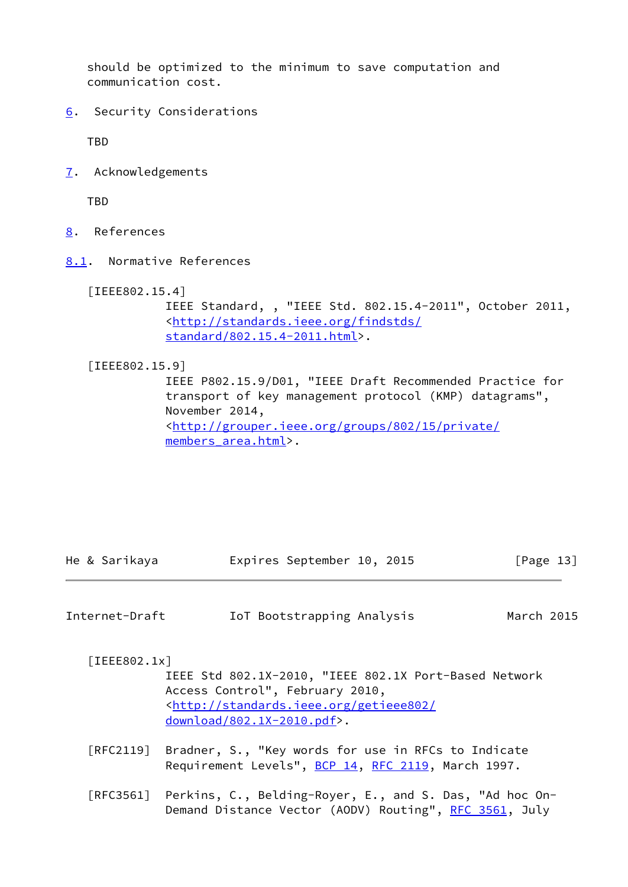should be optimized to the minimum to save computation and communication cost.

<span id="page-14-0"></span>[6](#page-14-0). Security Considerations

TBD

<span id="page-14-1"></span>[7](#page-14-1). Acknowledgements

**TBD** 

- <span id="page-14-2"></span>[8](#page-14-2). References
- <span id="page-14-3"></span>[8.1](#page-14-3). Normative References

```
 [IEEE802.15.4]
```
 IEEE Standard, , "IEEE Std. 802.15.4-2011", October 2011, <[http://standards.ieee.org/findstds/](http://standards.ieee.org/findstds/standard/802.15.4-2011.html) [standard/802.15.4-2011.html](http://standards.ieee.org/findstds/standard/802.15.4-2011.html)>.

<span id="page-14-6"></span>[IEEE802.15.9]

 IEEE P802.15.9/D01, "IEEE Draft Recommended Practice for transport of key management protocol (KMP) datagrams", November 2014, <[http://grouper.ieee.org/groups/802/15/private/](http://grouper.ieee.org/groups/802/15/private/members_area.html) members area.html>.

|  | He & Sarikaya | Expires September 10, 2015 |  | [Page 13] |
|--|---------------|----------------------------|--|-----------|
|  |               |                            |  |           |

| Internet-Draft | IoT Bootstrapping Analysis | March 2015 |
|----------------|----------------------------|------------|
|----------------|----------------------------|------------|

<span id="page-14-4"></span>[IEEE802.1x]

 IEEE Std 802.1X-2010, "IEEE 802.1X Port-Based Network Access Control", February 2010, <[http://standards.ieee.org/getieee802/](http://standards.ieee.org/getieee802/download/802.1X-2010.pdf) [download/802.1X-2010.pdf>](http://standards.ieee.org/getieee802/download/802.1X-2010.pdf).

- [RFC2119] Bradner, S., "Key words for use in RFCs to Indicate Requirement Levels", [BCP 14](https://datatracker.ietf.org/doc/pdf/bcp14), [RFC 2119](https://datatracker.ietf.org/doc/pdf/rfc2119), March 1997.
- [RFC3561] Perkins, C., Belding-Royer, E., and S. Das, "Ad hoc On- Demand Distance Vector (AODV) Routing", [RFC 3561,](https://datatracker.ietf.org/doc/pdf/rfc3561) July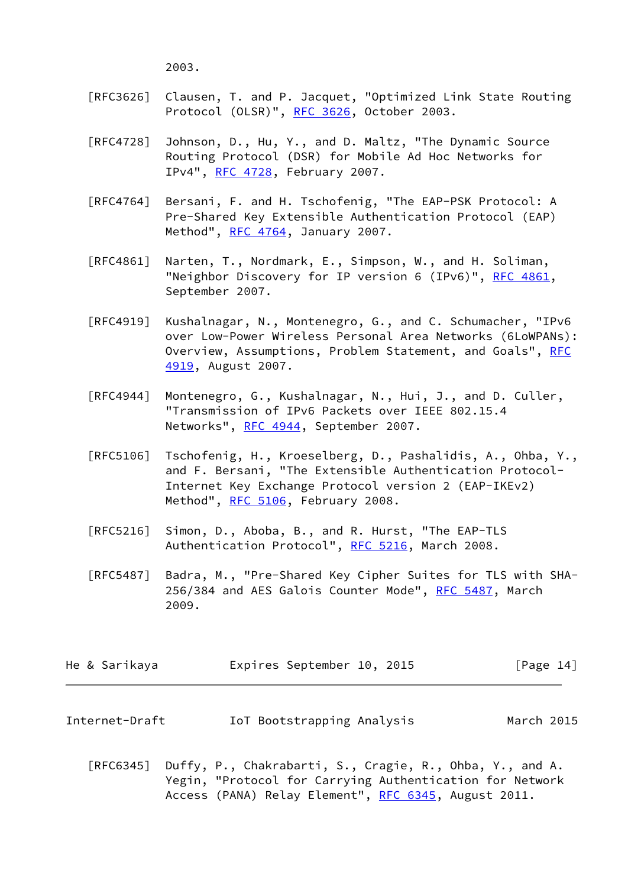2003.

- [RFC3626] Clausen, T. and P. Jacquet, "Optimized Link State Routing Protocol (OLSR)", [RFC 3626](https://datatracker.ietf.org/doc/pdf/rfc3626), October 2003.
- [RFC4728] Johnson, D., Hu, Y., and D. Maltz, "The Dynamic Source Routing Protocol (DSR) for Mobile Ad Hoc Networks for IPv4", [RFC 4728](https://datatracker.ietf.org/doc/pdf/rfc4728), February 2007.
- [RFC4764] Bersani, F. and H. Tschofenig, "The EAP-PSK Protocol: A Pre-Shared Key Extensible Authentication Protocol (EAP) Method", [RFC 4764,](https://datatracker.ietf.org/doc/pdf/rfc4764) January 2007.
- [RFC4861] Narten, T., Nordmark, E., Simpson, W., and H. Soliman, "Neighbor Discovery for IP version 6 (IPv6)", [RFC 4861](https://datatracker.ietf.org/doc/pdf/rfc4861), September 2007.
- [RFC4919] Kushalnagar, N., Montenegro, G., and C. Schumacher, "IPv6 over Low-Power Wireless Personal Area Networks (6LoWPANs): Overview, Assumptions, Problem Statement, and Goals", [RFC](https://datatracker.ietf.org/doc/pdf/rfc4919) [4919,](https://datatracker.ietf.org/doc/pdf/rfc4919) August 2007.
- [RFC4944] Montenegro, G., Kushalnagar, N., Hui, J., and D. Culler, "Transmission of IPv6 Packets over IEEE 802.15.4 Networks", [RFC 4944](https://datatracker.ietf.org/doc/pdf/rfc4944), September 2007.
- [RFC5106] Tschofenig, H., Kroeselberg, D., Pashalidis, A., Ohba, Y., and F. Bersani, "The Extensible Authentication Protocol- Internet Key Exchange Protocol version 2 (EAP-IKEv2) Method", [RFC 5106,](https://datatracker.ietf.org/doc/pdf/rfc5106) February 2008.
- [RFC5216] Simon, D., Aboba, B., and R. Hurst, "The EAP-TLS Authentication Protocol", [RFC 5216](https://datatracker.ietf.org/doc/pdf/rfc5216), March 2008.
- [RFC5487] Badra, M., "Pre-Shared Key Cipher Suites for TLS with SHA- 256/384 and AES Galois Counter Mode", [RFC 5487](https://datatracker.ietf.org/doc/pdf/rfc5487), March 2009.

|  | He & Sarikaya |  | Expires September 10, 2015 |  |  | [Page 14] |
|--|---------------|--|----------------------------|--|--|-----------|
|--|---------------|--|----------------------------|--|--|-----------|

- <span id="page-15-0"></span>Internet-Draft IoT Bootstrapping Analysis March 2015
	- [RFC6345] Duffy, P., Chakrabarti, S., Cragie, R., Ohba, Y., and A. Yegin, "Protocol for Carrying Authentication for Network Access (PANA) Relay Element", [RFC 6345](https://datatracker.ietf.org/doc/pdf/rfc6345), August 2011.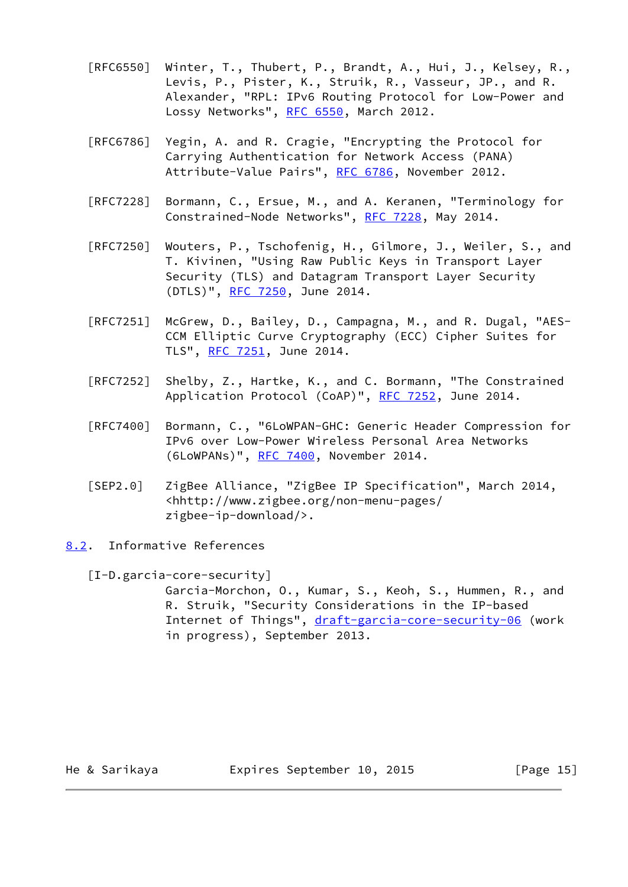- [RFC6550] Winter, T., Thubert, P., Brandt, A., Hui, J., Kelsey, R., Levis, P., Pister, K., Struik, R., Vasseur, JP., and R. Alexander, "RPL: IPv6 Routing Protocol for Low-Power and Lossy Networks", [RFC 6550,](https://datatracker.ietf.org/doc/pdf/rfc6550) March 2012.
- [RFC6786] Yegin, A. and R. Cragie, "Encrypting the Protocol for Carrying Authentication for Network Access (PANA) Attribute-Value Pairs", [RFC 6786,](https://datatracker.ietf.org/doc/pdf/rfc6786) November 2012.
- [RFC7228] Bormann, C., Ersue, M., and A. Keranen, "Terminology for Constrained-Node Networks", [RFC 7228,](https://datatracker.ietf.org/doc/pdf/rfc7228) May 2014.
- [RFC7250] Wouters, P., Tschofenig, H., Gilmore, J., Weiler, S., and T. Kivinen, "Using Raw Public Keys in Transport Layer Security (TLS) and Datagram Transport Layer Security (DTLS)", [RFC 7250,](https://datatracker.ietf.org/doc/pdf/rfc7250) June 2014.
- [RFC7251] McGrew, D., Bailey, D., Campagna, M., and R. Dugal, "AES- CCM Elliptic Curve Cryptography (ECC) Cipher Suites for TLS", [RFC 7251](https://datatracker.ietf.org/doc/pdf/rfc7251), June 2014.
- [RFC7252] Shelby, Z., Hartke, K., and C. Bormann, "The Constrained Application Protocol (CoAP)", [RFC 7252](https://datatracker.ietf.org/doc/pdf/rfc7252), June 2014.
- [RFC7400] Bormann, C., "6LoWPAN-GHC: Generic Header Compression for IPv6 over Low-Power Wireless Personal Area Networks (6LoWPANs)", [RFC 7400](https://datatracker.ietf.org/doc/pdf/rfc7400), November 2014.
- <span id="page-16-1"></span> [SEP2.0] ZigBee Alliance, "ZigBee IP Specification", March 2014, <hhttp://www.zigbee.org/non-menu-pages/ zigbee-ip-download/>.
- <span id="page-16-0"></span>[8.2](#page-16-0). Informative References

 [I-D.garcia-core-security] Garcia-Morchon, O., Kumar, S., Keoh, S., Hummen, R., and R. Struik, "Security Considerations in the IP-based Internet of Things", [draft-garcia-core-security-06](https://datatracker.ietf.org/doc/pdf/draft-garcia-core-security-06) (work in progress), September 2013.

He & Sarikaya **Expires September 10, 2015** [Page 15]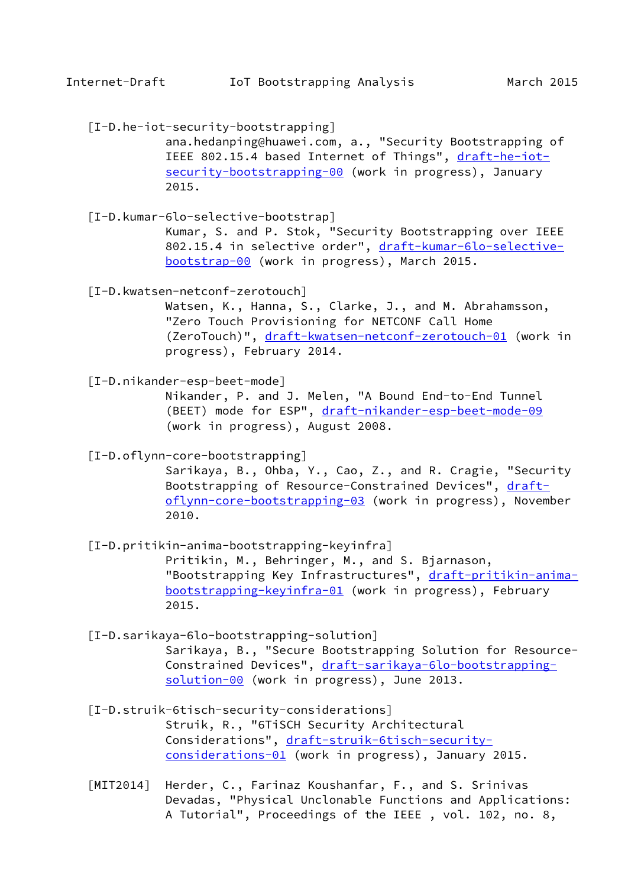<span id="page-17-4"></span>[I-D.he-iot-security-bootstrapping]

 ana.hedanping@huawei.com, a., "Security Bootstrapping of IEEE 802.15.4 based Internet of Things", [draft-he-iot](https://datatracker.ietf.org/doc/pdf/draft-he-iot-security-bootstrapping-00) [security-bootstrapping-00](https://datatracker.ietf.org/doc/pdf/draft-he-iot-security-bootstrapping-00) (work in progress), January 2015.

 [I-D.kumar-6lo-selective-bootstrap] Kumar, S. and P. Stok, "Security Bootstrapping over IEEE 802.15.4 in selective order", [draft-kumar-6lo-selective](https://datatracker.ietf.org/doc/pdf/draft-kumar-6lo-selective-bootstrap-00) [bootstrap-00](https://datatracker.ietf.org/doc/pdf/draft-kumar-6lo-selective-bootstrap-00) (work in progress), March 2015.

<span id="page-17-3"></span>[I-D.kwatsen-netconf-zerotouch]

 Watsen, K., Hanna, S., Clarke, J., and M. Abrahamsson, "Zero Touch Provisioning for NETCONF Call Home (ZeroTouch)", [draft-kwatsen-netconf-zerotouch-01](https://datatracker.ietf.org/doc/pdf/draft-kwatsen-netconf-zerotouch-01) (work in progress), February 2014.

<span id="page-17-5"></span>[I-D.nikander-esp-beet-mode]

 Nikander, P. and J. Melen, "A Bound End-to-End Tunnel (BEET) mode for ESP", [draft-nikander-esp-beet-mode-09](https://datatracker.ietf.org/doc/pdf/draft-nikander-esp-beet-mode-09) (work in progress), August 2008.

[I-D.oflynn-core-bootstrapping]

 Sarikaya, B., Ohba, Y., Cao, Z., and R. Cragie, "Security Bootstrapping of Resource-Constrained Devices", [draft](https://datatracker.ietf.org/doc/pdf/draft-oflynn-core-bootstrapping-03) [oflynn-core-bootstrapping-03](https://datatracker.ietf.org/doc/pdf/draft-oflynn-core-bootstrapping-03) (work in progress), November 2010.

<span id="page-17-0"></span> [I-D.pritikin-anima-bootstrapping-keyinfra] Pritikin, M., Behringer, M., and S. Bjarnason, "Bootstrapping Key Infrastructures", [draft-pritikin-anima](https://datatracker.ietf.org/doc/pdf/draft-pritikin-anima-bootstrapping-keyinfra-01) [bootstrapping-keyinfra-01](https://datatracker.ietf.org/doc/pdf/draft-pritikin-anima-bootstrapping-keyinfra-01) (work in progress), February 2015.

<span id="page-17-1"></span>[I-D.sarikaya-6lo-bootstrapping-solution]

 Sarikaya, B., "Secure Bootstrapping Solution for Resource Constrained Devices", [draft-sarikaya-6lo-bootstrapping](https://datatracker.ietf.org/doc/pdf/draft-sarikaya-6lo-bootstrapping-solution-00) [solution-00](https://datatracker.ietf.org/doc/pdf/draft-sarikaya-6lo-bootstrapping-solution-00) (work in progress), June 2013.

<span id="page-17-2"></span> [I-D.struik-6tisch-security-considerations] Struik, R., "6TiSCH Security Architectural Considerations", [draft-struik-6tisch-security](https://datatracker.ietf.org/doc/pdf/draft-struik-6tisch-security-considerations-01) [considerations-01](https://datatracker.ietf.org/doc/pdf/draft-struik-6tisch-security-considerations-01) (work in progress), January 2015.

<span id="page-17-6"></span> [MIT2014] Herder, C., Farinaz Koushanfar, F., and S. Srinivas Devadas, "Physical Unclonable Functions and Applications: A Tutorial", Proceedings of the IEEE , vol. 102, no. 8,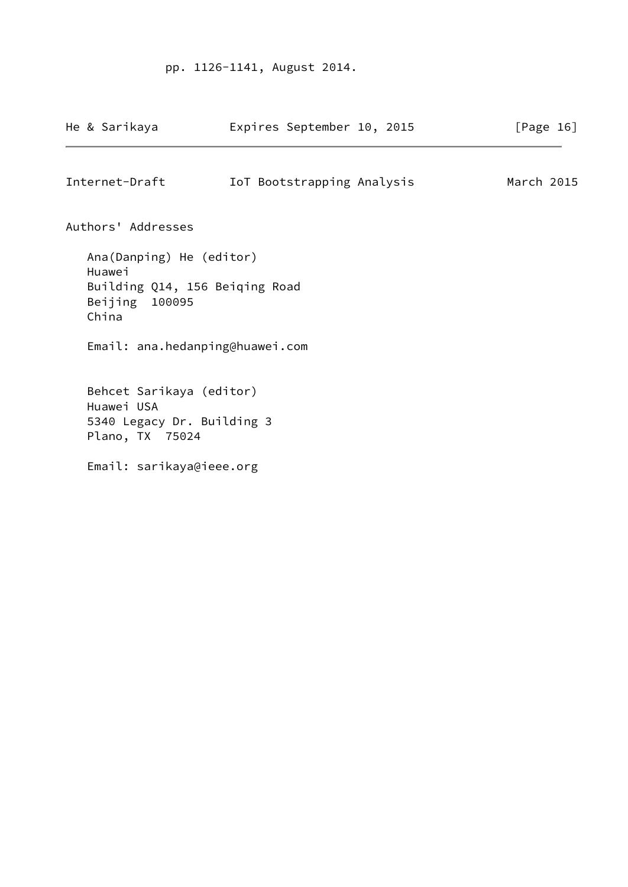# pp. 1126-1141, August 2014.

<span id="page-18-0"></span>

| He & Sarikaya                                                                                                       | Expires September 10, 2015 | [Page $16$ ] |
|---------------------------------------------------------------------------------------------------------------------|----------------------------|--------------|
| Internet-Draft                                                                                                      | IoT Bootstrapping Analysis | March 2015   |
| Authors' Addresses                                                                                                  |                            |              |
| Ana(Danping) He (editor)<br>Huawei<br>Building Q14, 156 Beiqing Road<br>Beijing 100095<br>China                     |                            |              |
| Email: ana.hedanping@huawei.com                                                                                     |                            |              |
| Behcet Sarikaya (editor)<br>Huawei USA<br>5340 Legacy Dr. Building 3<br>Plano, TX 75024<br>Email: sarikaya@ieee.org |                            |              |